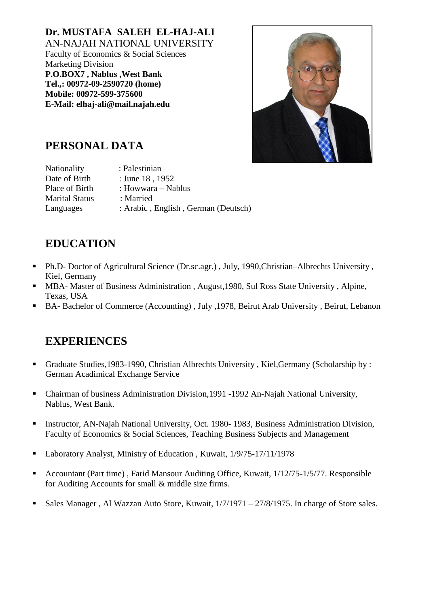**Dr. MUSTAFA SALEH EL-HAJ-ALI** AN-NAJAH NATIONAL UNIVERSITY Faculty of Economics & Social Sciences Marketing Division **P.O.BOX7 , Nablus ,West Bank Tel.,: 00972-09-2590720 (home) Mobile: 00972-599-375600 E-Mail: elhaj-ali@mail.najah.edu**



### **PERSONAL DATA**

| Nationality           | : Palestinian                       |
|-----------------------|-------------------------------------|
| Date of Birth         | : June 18, 1952                     |
| Place of Birth        | : Howwara – Nablus                  |
| <b>Marital Status</b> | : Married                           |
| Languages             | : Arabic, English, German (Deutsch) |

## **EDUCATION**

- Ph.D- Doctor of Agricultural Science (Dr.sc.agr.) , July, 1990,Christian–Albrechts University , Kiel, Germany
- MBA- Master of Business Administration , August,1980, Sul Ross State University , Alpine, Texas, USA
- BA- Bachelor of Commerce (Accounting) , July ,1978, Beirut Arab University , Beirut, Lebanon

#### **EXPERIENCES**

- Graduate Studies,1983-1990, Christian Albrechts University , Kiel,Germany (Scholarship by : German Acadimical Exchange Service
- Chairman of business Administration Division,1991 -1992 An-Najah National University, Nablus, West Bank.
- **Instructor, AN-Najah National University, Oct. 1980-1983, Business Administration Division,** Faculty of Economics & Social Sciences, Teaching Business Subjects and Management
- Laboratory Analyst, Ministry of Education, Kuwait, 1/9/75-17/11/1978
- Accountant (Part time), Farid Mansour Auditing Office, Kuwait, 1/12/75-1/5/77. Responsible for Auditing Accounts for small & middle size firms.
- Sales Manager, Al Wazzan Auto Store, Kuwait,  $1/7/1971 27/8/1975$ . In charge of Store sales.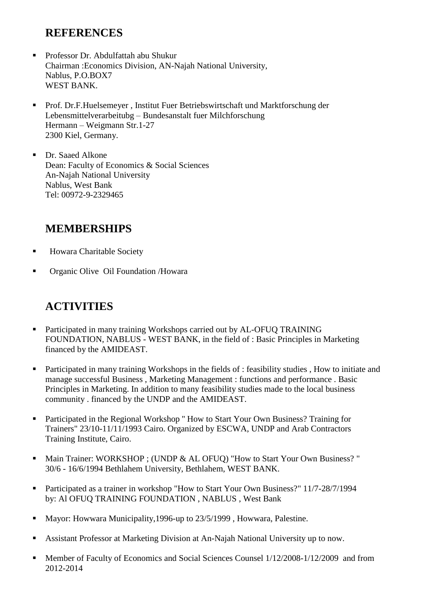#### **REFERENCES**

- Professor Dr. Abdulfattah abu Shukur Chairman :Economics Division, AN-Najah National University, Nablus, P.O.BOX7 WEST BANK.
- Prof. Dr.F.Huelsemeyer , Institut Fuer Betriebswirtschaft und Marktforschung der Lebensmittelverarbeitubg – Bundesanstalt fuer Milchforschung Hermann – Weigmann Str.1-27 2300 Kiel, Germany.
- Dr. Saaed Alkone Dean: Faculty of Economics & Social Sciences An-Najah National University Nablus, West Bank Tel: 00972-9-2329465

#### **MEMBERSHIPS**

- Howara Charitable Society
- Organic Olive Oil Foundation /Howara

# **ACTIVITIES**

- Participated in many training Workshops carried out by AL-OFUQ TRAINING FOUNDATION, NABLUS - WEST BANK, in the field of : Basic Principles in Marketing financed by the AMIDEAST.
- **Participated in many training Workshops in the fields of : feasibility studies . How to initiate and** manage successful Business , Marketing Management : functions and performance . Basic Principles in Marketing. In addition to many feasibility studies made to the local business community . financed by the UNDP and the AMIDEAST.
- Participated in the Regional Workshop '' How to Start Your Own Business? Training for Trainers" 23/10-11/11/1993 Cairo. Organized by ESCWA, UNDP and Arab Contractors Training Institute, Cairo.
- Main Trainer: WORKSHOP ; (UNDP & AL OFUQ) "How to Start Your Own Business?" 30/6 - 16/6/1994 Bethlahem University, Bethlahem, WEST BANK.
- Participated as a trainer in workshop "How to Start Your Own Business?" 11/7-28/7/1994 by: Al OFUQ TRAINING FOUNDATION , NABLUS , West Bank
- Mayor: Howwara Municipality, 1996-up to 23/5/1999, Howwara, Palestine.
- Assistant Professor at Marketing Division at An-Najah National University up to now.
- **Member of Faculty of Economics and Social Sciences Counsel 1/12/2008-1/12/2009 and from** 2012-2014